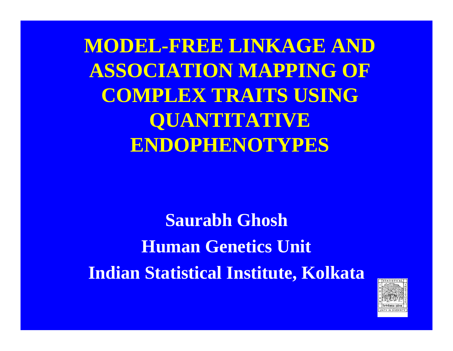**MODEL-FREE LINKAGE AND ASSOCIATION MAPPING OF COMPLEX TRAITS USING QUANTITATIVE ENDOPHENOTYPES**

**Saurabh Ghosh Human Genetics Unit Indian Statistical Institute, Kolkata**

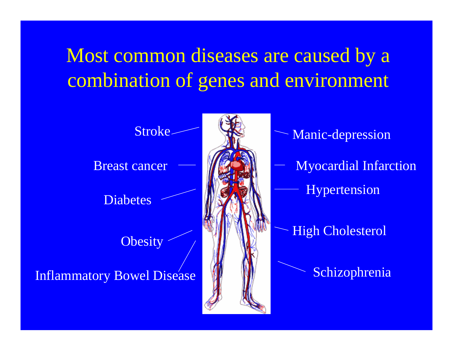# Most common diseases are caused by a combination of genes and environment

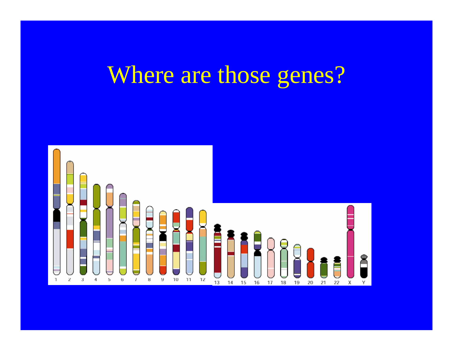# Where are those genes?

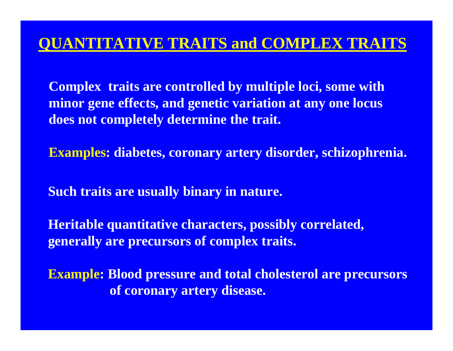## **QUANTITATIVE TRAITS and COMPLEX TRAITS**

**Complex traits are controlled by multiple loci, some with minor gene effects, and genetic variation at any one locus does not completely determine the trait.**

**Examples: diabetes, coronary artery disorder, schizophrenia.**

**Such traits are usually binary in nature.**

**Heritable quantitative characters, possibly correlated, generally are precursors of complex traits.**

**Example: Blood pressure and total cholesterol are precursors of coronary artery disease.**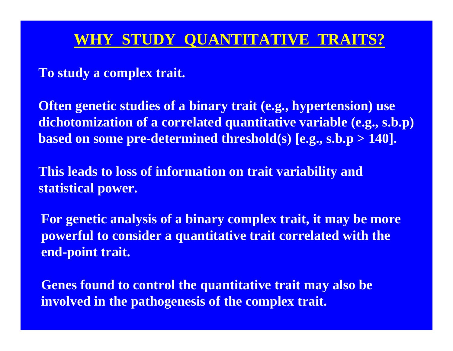## **WHY STUDY QUANTITATIVE TRAITS?**

**To study a complex trait.**

**Often genetic studies of a binary trait (e.g., hypertension) use dichotomization of a correlated quantitative variable (e.g., s.b.p) based on some pre-determined threshold(s) [e.g., s.b.p > 140].**

**This leads to loss of information on trait variability and statistical power.**

**For genetic analysis of a binary complex trait, it may be more powerful to consider a quantitative trait correlated with the end-point trait.**

**Genes found to control the quantitative trait may also be involved in the pathogenesis of the complex trait.**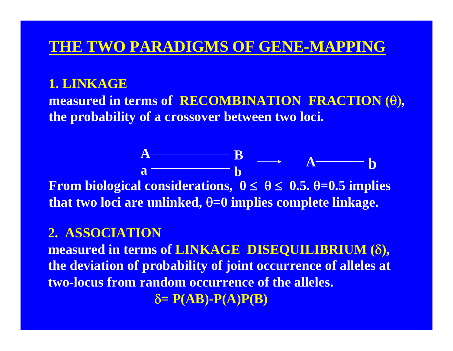### **THE TWO PARADIGMS OF GENE-MAPPING**

#### **1. LINKAGE**

**measured in terms of RECOMBINATION FRACTION (**θ)**, the probability of a crossover between two loci.**

**B**

**A**

**b**

**From biological considerations, 0** <sup>≤</sup> θ≤ **0.5.**  θ**=0.5 implies that two loci are unlinked,**  θ**=0 implies complete linkage. ab**

### **2. ASSOCIATION**

**A**

**measured in terms of LINKAGE DISEQUILIBRIUM (** δ **), the deviation of probability of joint occurrence of alleles at two-locus from random occurrence of the alleles.**

 $\delta = P(AB) - P(A)P(B)$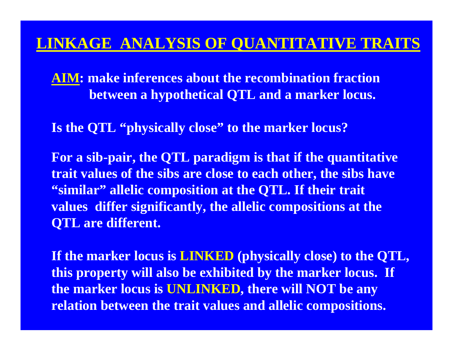### **LINKAGE ANALYSIS OF QUANTITATIVE TRAITS**

**AIM: make inferences about the recombination fraction between a hypothetical QTL and a marker locus.**

**Is the QTL "physically close" to the marker locus?**

**For a sib-pair, the QTL paradigm is that if the quantitative trait values of the sibs are close to each other, the sibs have "similar" allelic composition at the QTL. If their trait values differ significantly, the allelic compositions at the QTL are different.**

**If the marker locus is LINKED (physically close) to the QTL, this property will also be exhibited by the marker locus. If the marker locus is UNLINKED, there will NOT be any relation between the trait values and allelic compositions.**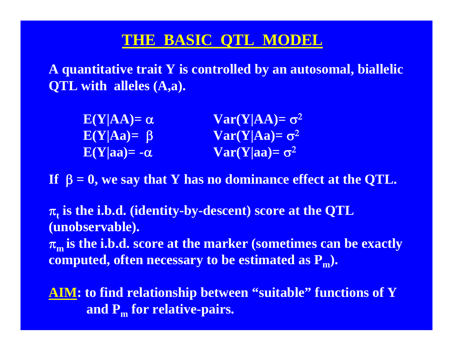## **THE BASIC QTL MODEL**

**A quantitative trait Y is controlled by an autosomal, biallelic QTL with alleles (A,a).**

| $E(Y AA) = \alpha$  | $Var(Y AA) = \sigma^2$                            |
|---------------------|---------------------------------------------------|
| $E(Y Aa) = \beta$   | $Var(Y Aa)=\sigma^2$                              |
| $E(Y aa) = -\alpha$ | $\textbf{Var}(\mathbf{Y} \mathbf{aa}) = \sigma^2$ |

**If**  β **= 0, we say that Y has no dominance effect at the QTL.**

 $\pi_{\mathsf{t}}$  is the i.b.d. (identity-by-descent) score at the QTL **(unobservable).**

<sup>π</sup>**m is the i.b.d. score at the marker (sometimes can be exactly computed, often necessary to be estimated as P m).**

**AIM: to find relationship between "suitable" functions of Y and P m for relative-pairs.**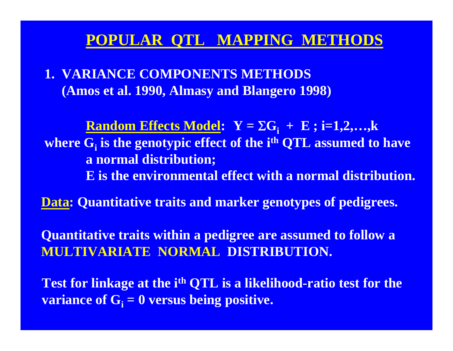### **POPULAR QTL MAPPING METHODS**

**1. VARIANCE COMPONENTS METHODS (Amos et al. 1990, Almasy and Blangero 1998)**

 $\bold{Random \: Effects \: Model:} \quad \bold{Y} = \Sigma \bold{G_i} \; + \; \bold{E} \; ; \; \bold{i=1,2,...,k}$ **where Gi is the genotypic effect of the ith QTL assumed to have a normal distribution;**

- **E is the environmental effect with a normal distribution.**
- **Data: Quantitative traits and marker genotypes of pedigrees.**

**Quantitative traits within a pedigree are assumed to follow a MULTIVARIATE NORMAL DISTRIBUTION.**

Test for linkage at the i<sup>th</sup> QTL is a likelihood-ratio test for the **variance of Gi = 0 versus being positive.**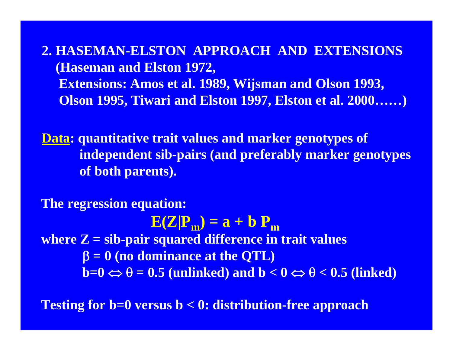**2. HASEMAN-ELSTON APPROACH AND EXTENSIONS(Haseman and Elston 1972, Extensions: Amos et al. 1989, Wijsman and Olson 1993, Olson 1995, Tiwari and Elston 1997, Elston et al. 2000……)**

**Data: quantitative trait values and marker genotypes of independent sib-pairs (and preferably marker genotypes of both parents).**

**The regression equation:**  $\mathbf{E}(\mathbf{Z}|\mathbf{P}_{\mathbf{m}}) = \mathbf{a} + \mathbf{b} \mathbf{ P}_{\mathbf{m}}$ **where Z = sib-pair squared difference in trait values** β **= 0 (no dominance at the QTL)**  $b=0 \Leftrightarrow \theta = 0.5$  (unlinked) and  $b < 0 \Leftrightarrow \theta < 0.5$  (linked)

**Testing for b=0 versus b < 0: distribution-free approach**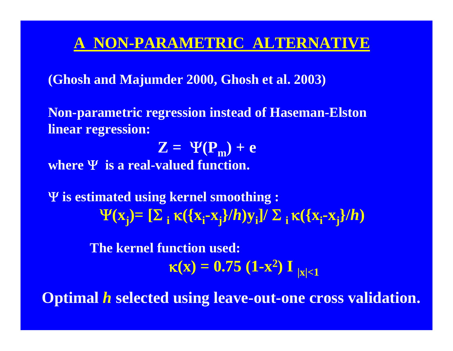### **A NON-PARAMETRIC ALTERNATIVE**

**(Ghosh and Majumder 2000, Ghosh et al. 2003)**

**Non-parametric regression instead of Haseman-Elston linear regression:** 

 $\mathbf{Z} = \Psi(\mathbf{P}_{\mathbf{m}}) + \mathbf{e}$ 

**where** Ψ **is a real-valued function.**

Ψ **is estimated using kernel smoothing :**  $\Psi$ (**x**<sub>j</sub>)= [Σ<sub>i</sub> κ({**x**<sub>i</sub>-x<sub>j</sub>}/*h*)y<sub>i</sub>]/ Σ<sub>i</sub> κ({x<sub>i</sub>-x<sub>j</sub>}/*h*)

> **The kernel function used:**  $\kappa(\mathbf{x}) = 0.75 \; (\mathbf{1} \text{-} \mathbf{x}^2) \; \mathbf{I}_{\;|\mathbf{x}| < 1}$

**Optimal**  *h* **selected using leave-out-one cross validation.**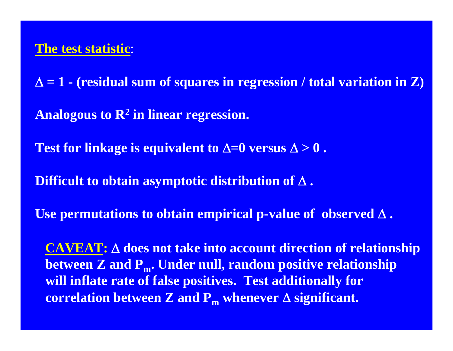Δ **= 1 - (residual sum of squares in regression / total variation in Z) Analogous to R2 in linear regression. Test for linkage is equivalent to**  $\Delta=0$  **versus**  $\Delta>0$ **. Difficult to obtain asymptotic distribution of** Δ **. Use permutations to obtain empirical p-value of observed** Δ **. CAVEAT:** Δ **does not take into account direction of relationship**

between Z and P<sub>m</sub>. Under null, random positive relationship **will inflate rate of false positives. Test additionally for correlation between Z and**  $\mathbf{P_m}$  **whenever**  $\Delta$  **significant.**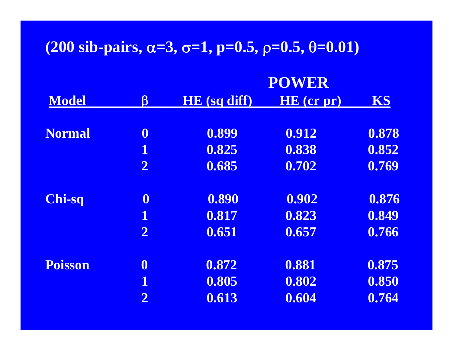# **(200 sib-pairs,** α**=3,** σ**=1, p=0.5,** ρ**=0.5,** θ**=0.01)**

|                |                      |                     | <b>POWER</b> |           |  |  |
|----------------|----------------------|---------------------|--------------|-----------|--|--|
| <b>Model</b>   | $\boldsymbol{\beta}$ | <b>HE</b> (sq diff) | HE (cr pr)   | <b>KS</b> |  |  |
| <b>Normal</b>  | $\boldsymbol{0}$     | 0.899               | 0.912        | 0.878     |  |  |
|                | $\mathbf 1$          | 0.825               | 0.838        | 0.852     |  |  |
|                | $\overline{2}$       | 0.685               | 0.702        | 0.769     |  |  |
| <b>Chi-sq</b>  | $\boldsymbol{0}$     | 0.890               | 0.902        | 0.876     |  |  |
|                | $\mathbf{1}$         | 0.817               | 0.823        | 0.849     |  |  |
|                | $\overline{2}$       | 0.651               | 0.657        | 0.766     |  |  |
| <b>Poisson</b> | $\boldsymbol{0}$     | 0.872               | 0.881        | 0.875     |  |  |
|                | 1                    | 0.805               | 0.802        | 0.850     |  |  |
|                | $\overline{2}$       | 0.613               | 0.604        | 0.764     |  |  |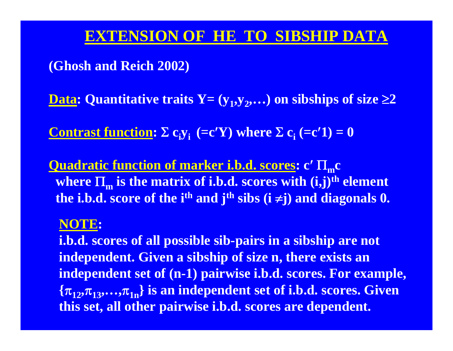### **EXTENSION OF HE TO SIBSHIP DATA**

### **(Ghosh and Reich 2002)**

 $\mathbf{Data:}$  Quantitative traits  $\mathbf{Y} = (\mathbf{y}_1, \mathbf{y}_2, \dots)$  on sibships of size  $\geq 2$ 

**Contrast function:**  $\Sigma$  **c**<sub>i</sub> $y_i$  (=**c**'**Y**) where  $\Sigma$  **c**<sub>i</sub> (=**c**'**1**) = **0** 

**Quadratic function of marker i.b.d. scores: c**′ Π **mc**  $\mathbf{w}$  **here**  $\Pi_\mathbf{m}$  **is the matrix of i.b.d. scores with**  $(\mathbf{i},\mathbf{j})^\text{th}$  **element the i.b.d. score of the ith and jth sibs (i**  <sup>≠</sup>**j) and diagonals 0.**

#### **NOTE:**

**i.b.d. scores of all possible sib-pairs in a sibship are not independent. Given a sibship of size n, there exists an independent set of (n-1) pairwise i.b.d. scores. For example, {** <sup>π</sup>**12,**π**13,…,** <sup>π</sup>**1n} is an independent set of i.b.d. scores. Given this set, all other pairwise i.b.d. scores are dependent.**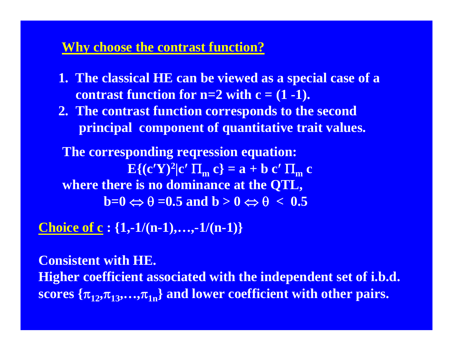#### **Why choose the contrast function?**

- **1. The classical HE can be viewed as a special case of a contrast function for**  $n=2$  **with**  $c = (1 - 1)$ **.**
- **2. The contrast function corresponds to the second principal component of quantitative trait values.**

**The corresponding reqression equation:**  $E\{ (c'Y)^2 | c' \Pi_m c \} = a + b c' \Pi_m c$ **where there is no dominance at the QTL,**  $\overrightarrow{b=0} \Leftrightarrow \theta = 0.5$  and  $\overrightarrow{b} > 0 \Leftrightarrow \theta < 0.5$ 

**Choice of c : {1,-1/(n-1),…,-1/(n-1)}**

**Consistent with HE. Higher coefficient associated with the independent set of i.b.d.**  ${\rm scores}$   $\{\pi_{12},\!pi_{13},\!\dots\!,\!\pi_{1\rm n}\}$  and lower coefficient with other pairs.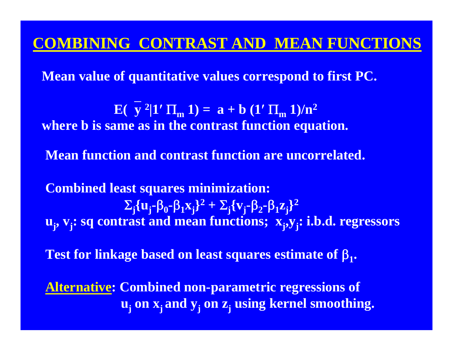### **COMBINING CONTRAST AND MEAN FUNCTIONS**

**Mean value of quantitative values correspond to first PC.**

**E**( $y^2$ |1′  $\Pi_m$  1) = **a** + **b** (1′  $\Pi_m$  1)/n<sup>2</sup> **where b is same as in the contrast function equation.**

**Mean function and contrast function are uncorrelated.** 

**Combined least squares minimization:**  $\Sigma_{\bf j} \{ {\bf u_j}$  $-\beta_0 - \beta_1 x_j^2 + \sum_j \{v_j\}$ **-**β<sub>2</sub>**-**β<sub>1</sub> $z_j$ }<sup>2</sup> **u**<sub>i</sub>, **v<sub>i</sub>: sq contrast and mean functions; <b>x**<sub>i</sub>,**y**<sub>i</sub>: i.b.d. regressors

**Test for linkage based on least squares estimate of**  β **1.**

**Alternative: Combined non-parametric regressions of uj on xj and yj on zj using kernel smoothing.**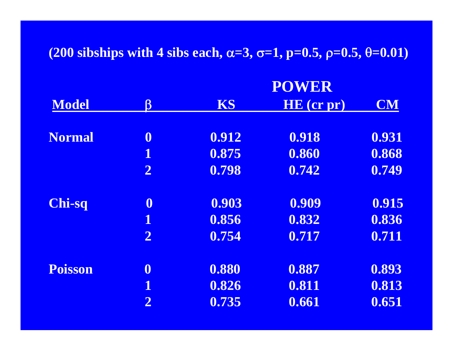#### **(200 sibships with 4 sibs each,**  <sup>α</sup>**=3,**  <sup>σ</sup>**=1, p=0.5,**  ρ**=0.5,**  θ**=0.01)**

**POWER** 

|                |                         |           | PUWER      |           |  |
|----------------|-------------------------|-----------|------------|-----------|--|
| <b>Model</b>   | $\boldsymbol{\beta}$    | <b>KS</b> | HE (cr pr) | <b>CM</b> |  |
|                |                         |           |            |           |  |
| <b>Normal</b>  | $\boldsymbol{0}$        | 0.912     | 0.918      | 0.931     |  |
|                | $\mathbf 1$             | 0.875     | 0.860      | 0.868     |  |
|                | $\overline{2}$          | 0.798     | 0.742      | 0.749     |  |
| <b>Chi-sq</b>  | $\boldsymbol{0}$        | 0.903     | 0.909      | 0.915     |  |
|                | $\overline{\mathbf{1}}$ | 0.856     | 0.832      | 0.836     |  |
|                | $\overline{2}$          | 0.754     | 0.717      | 0.711     |  |
| <b>Poisson</b> | $\boldsymbol{0}$        | 0.880     | 0.887      | 0.893     |  |
|                | $\mathbf 1$             | 0.826     | 0.811      | 0.813     |  |
|                | $\overline{2}$          | 0.735     | 0.661      | 0.651     |  |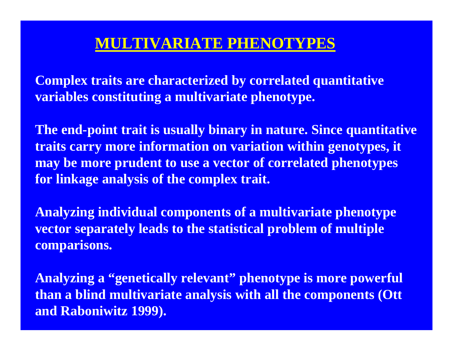### **MULTIVARIATE PHENOTYPES**

**Complex traits are characterized by correlated quantitative variables constituting a multivariate phenotype.** 

**The end-point trait is usually binary in nature. Since quantitative traits carry more information on variation within genotypes, it may be more prudent to use a vector of correlated phenotypes for linkage analysis of the complex trait.**

**Analyzing individual components of a multivariate phenotype vector separately leads to the statistical problem of multiple comparisons.** 

**Analyzing a "genetically relevant" phenotype is more powerful than a blind multivariate analysis with all the components (Ott and Raboniwitz 1999).**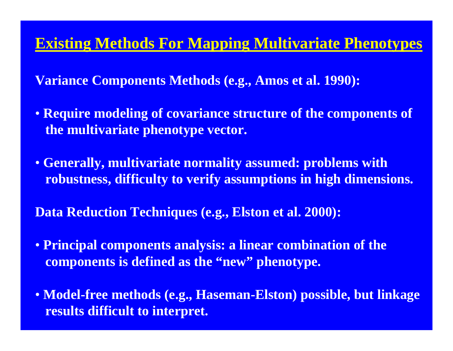### **Existing Methods For Mapping Multivariate Phenotypes**

**Variance Components Methods (e.g., Amos et al. 1990):** 

- **Require modeling of covariance structure of the components of the multivariate phenotype vector.**
- **Generally, multivariate normality assumed: problems with robustness, difficulty to verify assumptions in high dimensions.**

**Data Reduction Techniques (e.g., Elston et al. 2000):** 

- **Principal components analysis: a linear combination of the components is defined as the "new" phenotype.**
- **Model-free methods (e.g., Haseman-Elston) possible, but linkage results difficult to interpret.**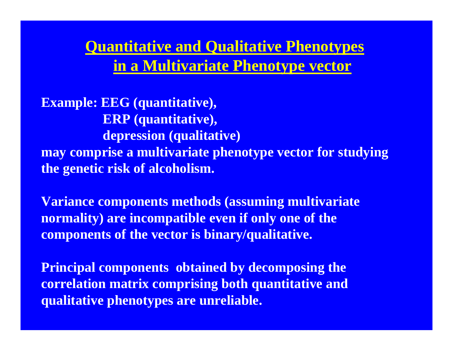**Quantitative and Qualitative Phenotypes in a Multivariate Phenotype vector**

**Example: EEG (quantitative), ERP (quantitative), depression (qualitative) may comprise a multivariate phenotype vector for studying the genetic risk of alcoholism.**

**Variance components methods (assuming multivariate normality) are incompatible even if only one of the components of the vector is binary/qualitative.** 

**Principal components obtained by decomposing the correlation matrix comprising both quantitative and qualitative phenotypes are unreliable.**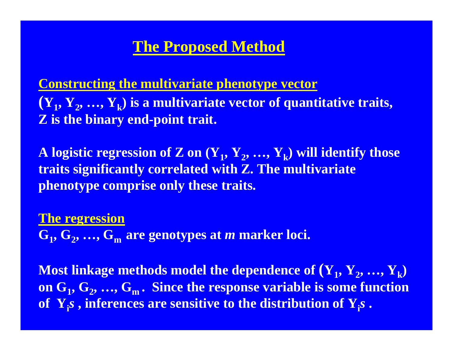# **The Proposed Method**

**Constructing the multivariate phenotype vector**  $(Y_1, Y_2, ..., Y_k)$  is a multivariate vector of quantitative traits, **Z is the binary end-point trait.**

 $\mathbf{A}% _{1},\mathbf{A}_{2},\mathbf{A}_{3},\mathbf{A}_{4},\mathbf{A}_{5},\mathbf{A}_{6}$  and  $\mathbf{A}_{2},\mathbf{A}_{3},\mathbf{A}_{4},\mathbf{A}_{5},\mathbf{A}_{7},\mathbf{A}_{8}$  and  $\mathbf{A}_{3},\mathbf{A}_{4},\mathbf{A}_{5},\mathbf{A}_{6}$  are supposenting those **traits significantly correlated with Z. The multivariate phenotype comprise only these traits.**

#### **The regression**

 $\mathbf{G}_1, \mathbf{G}_2, ..., \mathbf{G}_\mathrm{m}$  are genotypes at  $m$  marker loci.

 $\bf{Most\ linkage\ methods\ model\ the\ dependence\ of\ (**Y**<sub>1</sub>, **Y**<sub>2</sub>, ..., **Y**<sub>k</sub>)$ on  $\mathbf{G}_1, \mathbf{G}_2, ..., \mathbf{G}_\text{m}$  . Since the response variable is some function **of Yi***s* **, inferences are sensitive to the distribution of Yi***s* **.**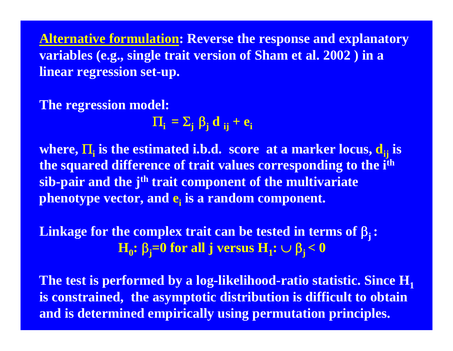**Alternative formulation: Reverse the response and explanatory variables (e.g., single trait version of Sham et al. 2002 ) in a linear regression set-up.**

### **The regression model:**

 $\Pi_{\bf i} = \Sigma_{\bf j} \; \boldsymbol{\beta}_{\bf j} \; {\bf d}_{\bf \ i \bf j} + {\bf e}_{\bf i}$ 

**where,**  $\Pi_{\textbf{i}}$  **is the estimated i.b.d. score**  $\textbf{a}$ **t a marker locus,**  $\textbf{d}_{\textbf{ij}}$  **is**  $\textbf{d}_{\textbf{ij}}$ **the squared difference of trait values corresponding to the ith sib-pair and the j<sup>th</sup> trait component of the multivariate phenotype vector, and ei is a random component.**

**Linkage for the complex trait can be tested in terms of**  β**<sup>j</sup> :**  $\mathbf{H}_0\colon\beta_{\mathbf{j}}{=}0$  for all j versus  $\mathbf{H}_{\mathbf{1}}\colon\cup~\beta_{\mathbf{j}}{<}0$ 

**The test is performed by a log-likelihood-ratio statistic. Since H1 is constrained, the asymptotic distribution is difficult to obtain and is determined empirically using permutation principles.**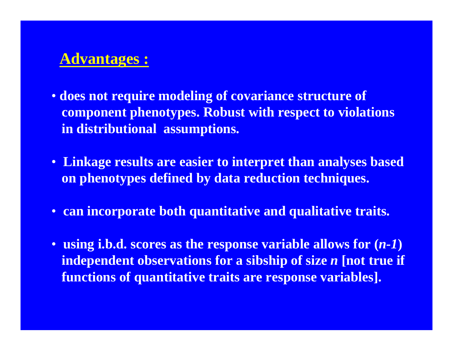# **Advantages :**

- **does not require modeling of covariance structure of component phenotypes. Robust with respect to violations in distributional assumptions.**
- **Linkage results are easier to interpret than analyses based on phenotypes defined by data reduction techniques.**
- **can incorporate both quantitative and qualitative traits.**
- **using i.b.d. scores as the response variable allows for (***n-1***) independent observations for a sibship of size** *n* **[not true if functions of quantitative traits are response variables].**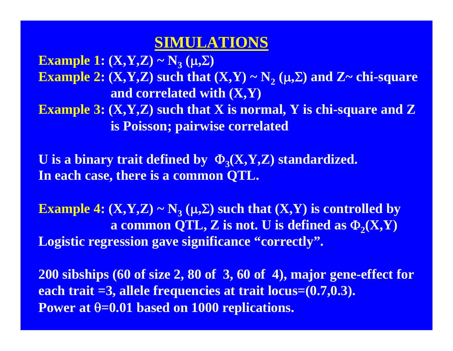# **SIMULATIONS**

**Example 1: (X,Y,Z) ~ N3 (**μ**,**Σ**) Example 2:**  $(X,Y,Z)$  **such that**  $(X,Y) \thicksim N_2$  $(\mu,\Sigma)$  **and**  $Z \thicksim$  **chi-square and correlated with (X,Y) Example 3: (X,Y,Z) such that X is normal, Y is chi-square and Z is Poisson; pairwise correlated**

**U** is a binary trait defined by  $Φ_3(X,Y,Z)$  standardized. **In each case, there is a common QTL.**

**Example 4:**  $(X,Y,Z) \sim N_3$  $(\mu,\Sigma)$  **such that**  $(X,Y)$  **is controlled by a common QTL, Z is not. U is defined as**  $\Phi_2(X, Y)$ **Logistic regression gave significance "correctly".** 

**200 sibships (60 of size 2, 80 of 3, 60 of 4), major gene-effect for each trait =3, allele frequencies at trait locus=(0.7,0.3). Power at** θ**=0.01 based on 1000 replications.**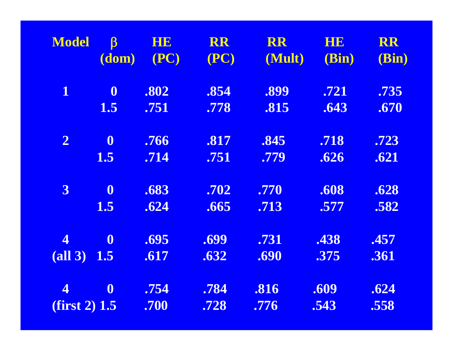| <b>Model</b>            | $\boldsymbol{\beta}$ | <b>HE</b> | <b>RR</b> | <b>RR</b> | <b>HIE</b> | <b>RR</b> |
|-------------------------|----------------------|-----------|-----------|-----------|------------|-----------|
|                         | (dom)                | (PC)      | (PC)      | (Mult)    | (Bin)      | (Bin)     |
| $\mathbf 1$             | $\boldsymbol{0}$     | .802      | .854      | .899      | .721       | .735      |
|                         | 1.5                  | .751      | .778      | .815      | .643       | .670      |
| $\mathbf{2}$            | $\boldsymbol{0}$     | .766      | .817      | .845      | .718       | .723      |
|                         | <b>1.5</b>           | .714      | .751      | .779      | .626       | .621      |
| $\mathbf{3}$            | $\boldsymbol{0}$     | .683      | .702      | .770      | .608       | .628      |
|                         | 1.5                  | .624      | .665      | .713      | .577       | .582      |
| $\overline{\mathbf{4}}$ | $\boldsymbol{0}$     | .695      | .699      | .731      | .438       | .457      |
| $(all 3)$               | 1.5                  | .617      | .632      | .690      | .375       | .361      |
| $\overline{\mathbf{4}}$ | $\boldsymbol{0}$     | .754      | .784      | .816      | .609       | .624      |
| $(first 2)$ 1.5         |                      | .700      | .728      | .776      | .543       | .558      |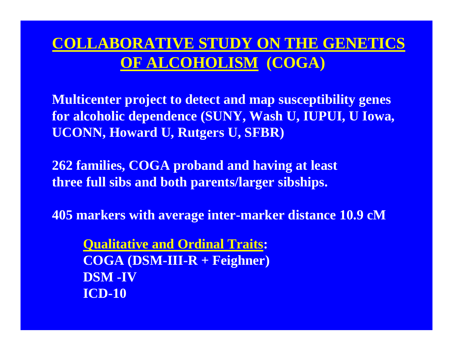# **COLLABORATIVE STUDY ON THE GENETICS OF ALCOHOLISM (COGA)**

**Multicenter project to detect and map susceptibility genes for alcoholic dependence (SUNY, Wash U, IUPUI, U Iowa, UCONN, Howard U, Rutgers U, SFBR)**

**262 families, COGA proband and having at least three full sibs and both parents/larger sibships.** 

**405 markers with average inter-marker distance 10.9 cM**

**Qualitative and Ordinal Traits: COGA (DSM-III-R + Feighner) DSM -IVICD-10**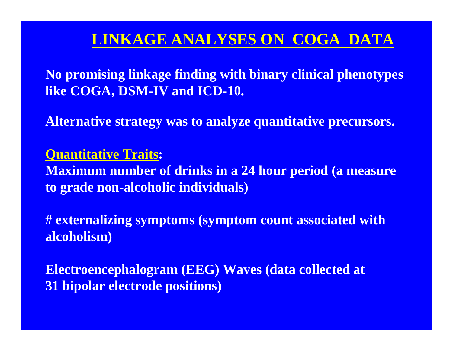# **LINKAGE ANALYSES ON COGA DATA**

**No promising linkage finding with binary clinical phenotypes like COGA, DSM-IV and ICD-10.**

**Alternative strategy was to analyze quantitative precursors.**

### **Quantitative Traits:**

**Maximum number of drinks in a 24 hour period (a measure to grade non-alcoholic individuals)**

**# externalizing symptoms (symptom count associated with alcoholism)** 

**Electroencephalogram (EEG) Waves (data collected at 31 bipolar electrode positions)**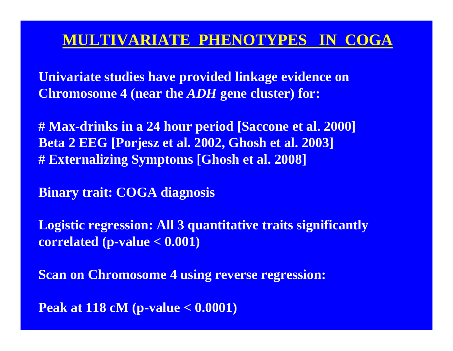## **MULTIVARIATE PHENOTYPES IN COGA**

**Univariate studies have provided linkage evidence on Chromosome 4 (near the** *ADH* **gene cluster) for:**

**# Max-drinks in a 24 hour period [Saccone et al. 2000] Beta 2 EEG [Porjesz et al. 2002, Ghosh et al. 2003] # Externalizing Symptoms [Ghosh et al. 2008]**

**Binary trait: COGA diagnosis**

**Logistic regression: All 3 quantitative traits significantly correlated (p-value < 0.001)**

**Scan on Chromosome 4 using reverse regression:**

**Peak at 118 cM (p-value < 0.0001)**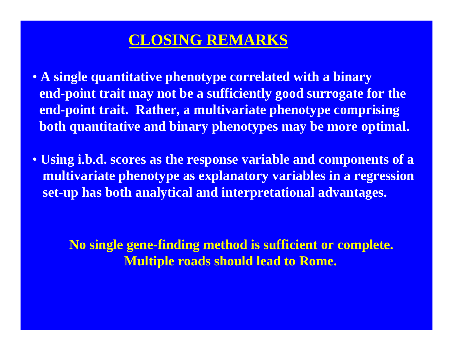### **CLOSING REMARKS**

- **A single quantitative phenotype correlated with a binary end-point trait may not be a sufficiently good surrogate for the end-point trait. Rather, a multivariate phenotype comprising both quantitative and binary phenotypes may be more optimal.**
- **Using i.b.d. scores as the response variable and components of a multivariate phenotype as explanatory variables in a regression set-up has both analytical and interpretational advantages.**

### **No single gene-finding method is sufficient or complete. Multiple roads should lead to Rome.**